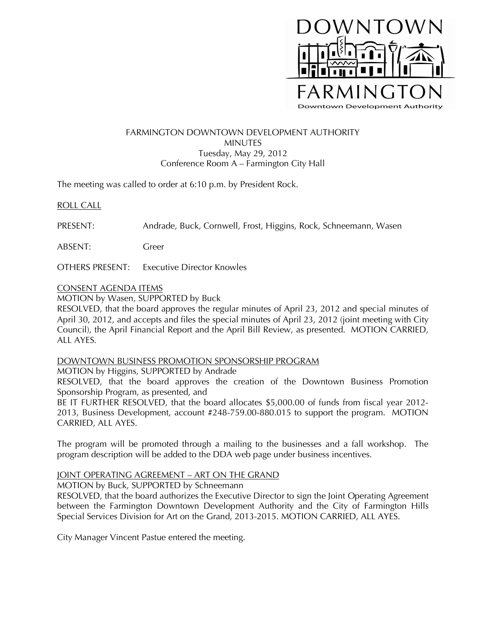

# FARMINGTON DOWNTOWN DEVELOPMENT AUTHORITY MINUTES Tuesday, May 29, 2012 Conference Room A – Farmington City Hall

The meeting was called to order at 6:10 p.m. by President Rock.

## ROLL CALL

PRESENT: Andrade, Buck, Cornwell, Frost, Higgins, Rock, Schneemann, Wasen

ABSENT: Greer

OTHERS PRESENT: Executive Director Knowles

### CONSENT AGENDA ITEMS

MOTION by Wasen, SUPPORTED by Buck

RESOLVED, that the board approves the regular minutes of April 23, 2012 and special minutes of April 30, 2012, and accepts and files the special minutes of April 23, 2012 (joint meeting with City Council), the April Financial Report and the April Bill Review, as presented. MOTION CARRIED, ALL AYES.

### DOWNTOWN BUSINESS PROMOTION SPONSORSHIP PROGRAM

### MOTION by Higgins, SUPPORTED by Andrade

RESOLVED, that the board approves the creation of the Downtown Business Promotion Sponsorship Program, as presented, and

BE IT FURTHER RESOLVED, that the board allocates \$5,000.00 of funds from fiscal year 2012- 2013, Business Development, account #248-759.00-880.015 to support the program. MOTION CARRIED, ALL AYES.

The program will be promoted through a mailing to the businesses and a fall workshop. The program description will be added to the DDA web page under business incentives.

## JOINT OPERATING AGREEMENT – ART ON THE GRAND

MOTION by Buck, SUPPORTED by Schneemann

RESOLVED, that the board authorizes the Executive Director to sign the Joint Operating Agreement between the Farmington Downtown Development Authority and the City of Farmington Hills Special Services Division for Art on the Grand, 2013-2015. MOTION CARRIED, ALL AYES.

City Manager Vincent Pastue entered the meeting.